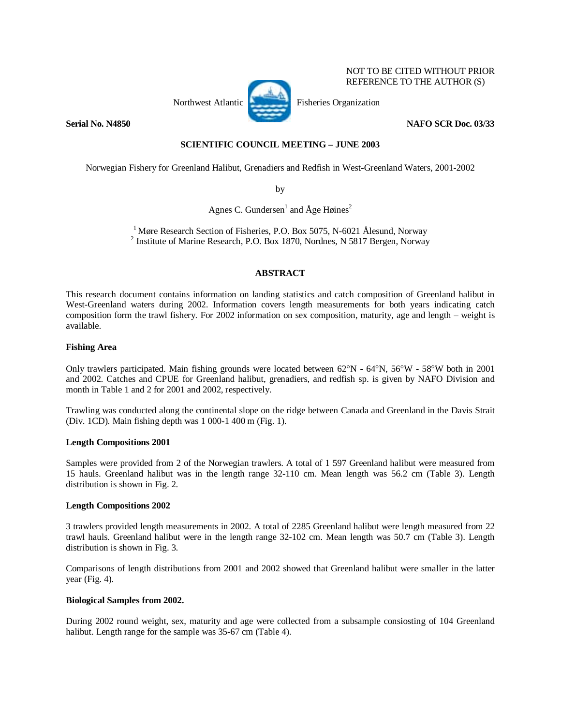

NOT TO BE CITED WITHOUT PRIOR REFERENCE TO THE AUTHOR (S)

## **Serial No. N4850 NAFO SCR Doc. 03/33**

### **SCIENTIFIC COUNCIL MEETING – JUNE 2003**

Norwegian Fishery for Greenland Halibut, Grenadiers and Redfish in West-Greenland Waters, 2001-2002

by

Agnes C. Gundersen<sup>1</sup> and  $\rm{Age}$  Høines<sup>2</sup>

<sup>1</sup> Møre Research Section of Fisheries, P.O. Box 5075, N-6021 Ålesund, Norway  $<sup>2</sup>$  Institute of Marine Research, P.O. Box 1870, Nordnes, N 5817 Bergen, Norway</sup>

# **ABSTRACT**

This research document contains information on landing statistics and catch composition of Greenland halibut in West-Greenland waters during 2002. Information covers length measurements for both years indicating catch composition form the trawl fishery. For 2002 information on sex composition, maturity, age and length – weight is available.

### **Fishing Area**

Only trawlers participated. Main fishing grounds were located between 62°N - 64°N, 56°W - 58°W both in 2001 and 2002. Catches and CPUE for Greenland halibut, grenadiers, and redfish sp. is given by NAFO Division and month in Table 1 and 2 for 2001 and 2002, respectively.

Trawling was conducted along the continental slope on the ridge between Canada and Greenland in the Davis Strait (Div. 1CD). Main fishing depth was 1 000-1 400 m (Fig. 1).

### **Length Compositions 2001**

Samples were provided from 2 of the Norwegian trawlers. A total of 1 597 Greenland halibut were measured from 15 hauls. Greenland halibut was in the length range 32-110 cm. Mean length was 56.2 cm (Table 3). Length distribution is shown in Fig. 2.

## **Length Compositions 2002**

3 trawlers provided length measurements in 2002. A total of 2285 Greenland halibut were length measured from 22 trawl hauls. Greenland halibut were in the length range 32-102 cm. Mean length was 50.7 cm (Table 3). Length distribution is shown in Fig. 3.

Comparisons of length distributions from 2001 and 2002 showed that Greenland halibut were smaller in the latter year (Fig. 4).

### **Biological Samples from 2002.**

During 2002 round weight, sex, maturity and age were collected from a subsample consiosting of 104 Greenland halibut. Length range for the sample was 35-67 cm (Table 4).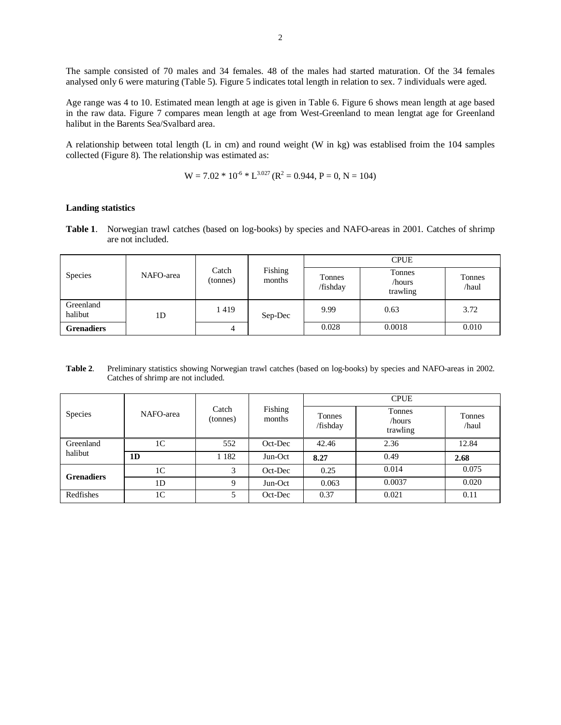The sample consisted of 70 males and 34 females. 48 of the males had started maturation. Of the 34 females analysed only 6 were maturing (Table 5). Figure 5 indicates total length in relation to sex. 7 individuals were aged.

Age range was 4 to 10. Estimated mean length at age is given in Table 6. Figure 6 shows mean length at age based in the raw data. Figure 7 compares mean length at age from West-Greenland to mean lengtat age for Greenland halibut in the Barents Sea/Svalbard area.

A relationship between total length (L in cm) and round weight (W in kg) was establised froim the 104 samples collected (Figure 8). The relationship was estimated as:

$$
W = 7.02 * 10^{-6} * L^{3.027} (R^2 = 0.944, P = 0, N = 104)
$$

#### **Landing statistics**

**Table 1**. Norwegian trawl catches (based on log-books) by species and NAFO-areas in 2001. Catches of shrimp are not included.

|                      |           |                   |                   |                           | <b>CPUE</b>                  |                 |
|----------------------|-----------|-------------------|-------------------|---------------------------|------------------------------|-----------------|
| Species              | NAFO-area | Catch<br>(tonnes) | Fishing<br>months | <b>Tonnes</b><br>/fishday | Tonnes<br>/hours<br>trawling | Tonnes<br>/haul |
| Greenland<br>halibut | 1D        | 1419              | Sep-Dec           | 9.99                      | 0.63                         | 3.72            |
| <b>Grenadiers</b>    |           | 4                 |                   | 0.028                     | 0.0018                       | 0.010           |

**Table 2**. Preliminary statistics showing Norwegian trawl catches (based on log-books) by species and NAFO-areas in 2002. Catches of shrimp are not included.

|                   |                |                   | Fishing<br>Tonnes<br>months<br>/fishday | <b>CPUE</b>                  |                 |       |
|-------------------|----------------|-------------------|-----------------------------------------|------------------------------|-----------------|-------|
| Species           | NAFO-area      | Catch<br>(tonnes) |                                         | Tonnes<br>/hours<br>trawling | Tonnes<br>/haul |       |
| Greenland         | 1C             | 552               | Oct-Dec                                 | 42.46                        | 2.36            | 12.84 |
| halibut           | 1 <sub>D</sub> | 1 1 8 2           | Jun-Oct                                 | 8.27                         | 0.49            | 2.68  |
| <b>Grenadiers</b> | 1 <sup>C</sup> | 3                 | Oct-Dec                                 | 0.25                         | 0.014           | 0.075 |
|                   | 1 <sub>D</sub> | 9                 | Jun-Oct                                 | 0.063                        | 0.0037          | 0.020 |
| Redfishes         | 1C             |                   | Oct-Dec                                 | 0.37                         | 0.021           | 0.11  |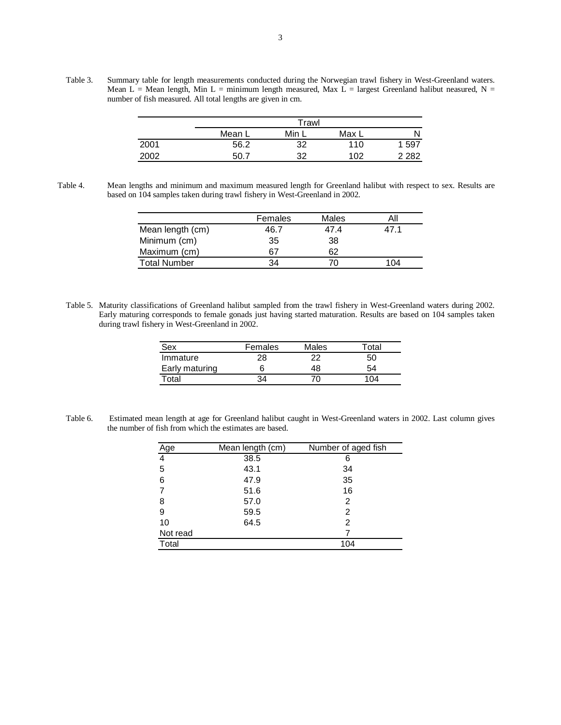Table 3. Summary table for length measurements conducted during the Norwegian trawl fishery in West-Greenland waters. Mean L = Mean length, Min L = minimum length measured, Max L = largest Greenland halibut neasured, N = number of fish measured. All total lengths are given in cm.

|      | Trawl  |       |       |         |
|------|--------|-------|-------|---------|
|      | Mean L | Min L | Max L |         |
| 2001 | 56.2   | 32    | 110   | -597    |
| 2002 | -50.7  | つつ    | 102   | 2 2 8 2 |

Table 4. Mean lengths and minimum and maximum measured length for Greenland halibut with respect to sex. Results are based on 104 samples taken during trawl fishery in West-Greenland in 2002.

|                     | Females | Males |     |
|---------------------|---------|-------|-----|
| Mean length (cm)    | 46.7    | 47.4  |     |
| Minimum (cm)        | 35      | 38    |     |
| Maximum (cm)        | 67      | 62    |     |
| <b>Total Number</b> | 34      |       | 104 |

Table 5. Maturity classifications of Greenland halibut sampled from the trawl fishery in West-Greenland waters during 2002. Early maturing corresponds to female gonads just having started maturation. Results are based on 104 samples taken during trawl fishery in West-Greenland in 2002.

| Sex            | Females | Males | Total |
|----------------|---------|-------|-------|
| Immature       | 28      | 22    | 50    |
| Early maturing |         | 48    | 54    |
| Total          | 34      |       | 104   |

Table 6. Estimated mean length at age for Greenland halibut caught in West-Greenland waters in 2002. Last column gives the number of fish from which the estimates are based.

| Age      | Mean length (cm) | Number of aged fish |
|----------|------------------|---------------------|
| 4        | 38.5             | 6                   |
| 5        | 43.1             | 34                  |
| 6        | 47.9             | 35                  |
|          | 51.6             | 16                  |
| 8        | 57.0             | 2                   |
| 9        | 59.5             | 2                   |
| 10       | 64.5             | 2                   |
| Not read |                  |                     |
| Total    |                  | 104                 |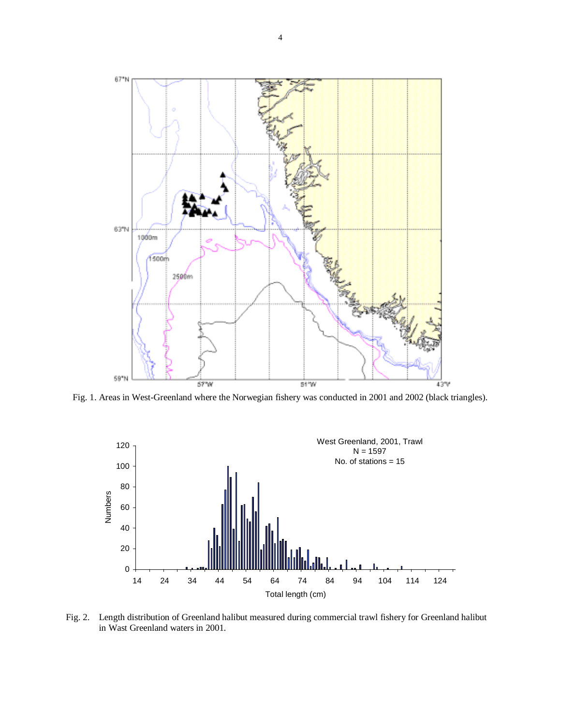

Fig. 1. Areas in West-Greenland where the Norwegian fishery was conducted in 2001 and 2002 (black triangles).



Fig. 2. Length distribution of Greenland halibut measured during commercial trawl fishery for Greenland halibut in Wast Greenland waters in 2001.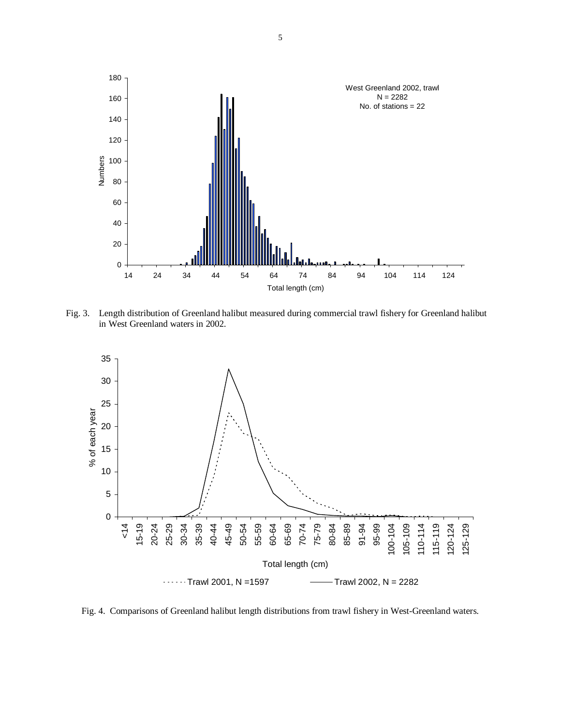

Fig. 3. Length distribution of Greenland halibut measured during commercial trawl fishery for Greenland halibut in West Greenland waters in 2002.



Fig. 4. Comparisons of Greenland halibut length distributions from trawl fishery in West-Greenland waters.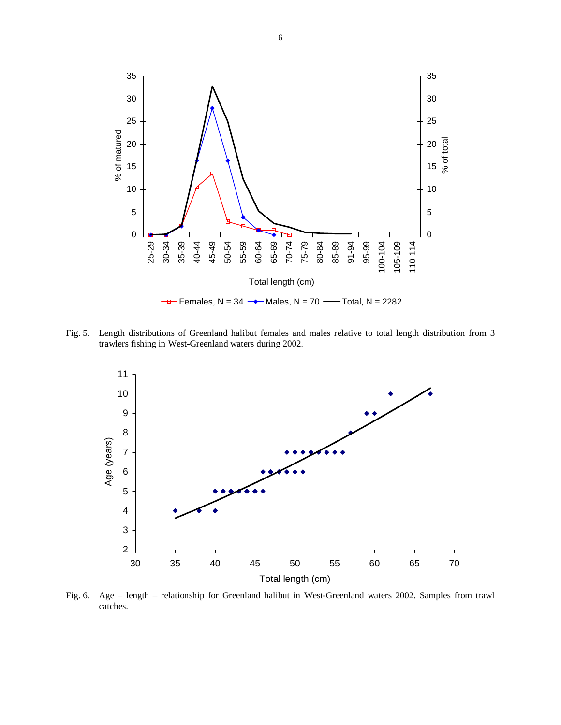

Fig. 5. Length distributions of Greenland halibut females and males relative to total length distribution from 3 trawlers fishing in West-Greenland waters during 2002.



Fig. 6. Age – length – relationship for Greenland halibut in West-Greenland waters 2002. Samples from trawl catches.